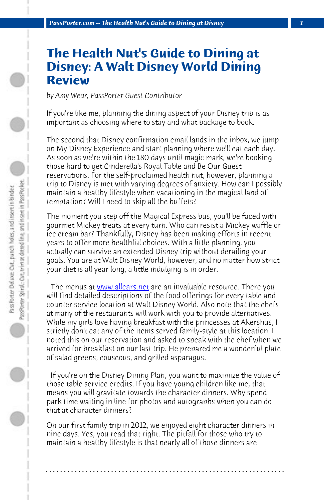*PassPorter.com -- The Health Nut's Guide to Dining at Disney 1*

## **The Health Nut's Guide to Dining at Disney: A Walt Disney World Dining Review**

*by Amy Wear, PassPorter Guest Contributor*

If you're like me, planning the dining aspect of your Disney trip is as important as choosing where to stay and what package to book.

The second th[at Disney confirm](http://www.allears.net)ation email lands in the inbox, we jump on My Disney Experience and start planning where we'll eat each day. As soon as we're within the 180 days until magic mark, we're booking those hard to get Cinderella's Royal Table and Be Our Guest reservations. For the self-proclaimed health nut, however, planning a trip to Disney is met with varying degrees of anxiety. How can I possibly maintain a healthy lifestyle when vacationing in the magical land of temptation? Will I need to skip all the buffets?

The moment you step off the Magical Express bus, you'll be faced with gourmet Mickey treats at every turn. Who can resist a Mickey waffle or ice cream bar? Thankfully, Disney has been making efforts in recent years to offer more healthful choices. With a little planning, you actually can survive an extended Disney trip without derailing your goals. You are at Walt Disney World, however, and no matter how strict your diet is all year long, a little indulging is in order.

 The menus at www.allears.net are an invaluable resource. There you will find detailed descriptions of the food offerings for every table and counter service location at Walt Disney World. Also note that the chefs at many of the restaurants will work with you to provide alternatives. While my girls love having breakfast with the princesses at Akershus, I strictly don't eat any of the items served family-style at this location. I noted this on our reservation and asked to speak with the chef when we arrived for breakfast on our last trip. He prepared me a wonderful plate of salad greens, couscous, and grilled asparagus.

 If you're on the Disney Dining Plan, you want to maximize the value of those table service credits. If you have young children like me, that means you will gravitate towards the character dinners. Why spend park time waiting in line for photos and autographs when you can do that at character dinners?

On our first family trip in 2012, we enjoyed eight character dinners in nine days. Yes, you read that right. The pitfall for those who try to maintain a healthy lifestyle is that nearly all of those dinners are

**. . . . . . . . . . . . . . . . . . . . . . . . . . . . . . . . . . . . . . . . . . . . . . . . . . . . . . . . . . . . . . . . . .**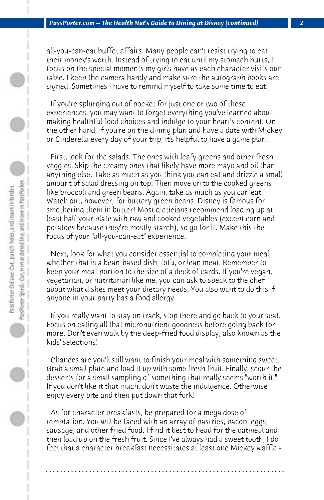all-you-can-eat buffet affairs. Many people can't resist trying to eat their money's worth. Instead of trying to eat until my stomach hurts, I focus on the special moments my girls have as each character visits our table. I keep the camera handy and make sure the autograph books are signed. Sometimes I have to remind myself to take some time to eat!

 If you're splurging out of pocket for just one or two of these experiences, you may want to forget everything you've learned about making healthful food choices and indulge to your heart's content. On the other hand, if you're on the dining plan and have a date with Mickey or Cinderella every day of your trip, it's helpful to have a game plan.

 First, look for the salads. The ones with leafy greens and other fresh veggies. Skip the creamy ones that likely have more mayo and oil than anything else. Take as much as you think you can eat and drizzle a small amount of salad dressing on top. Then move on to the cooked greens like broccoli and green beans. Again, take as much as you can eat. Watch out, however, for buttery green beans. Disney is famous for smothering them in butter! Most dieticians recommend loading up at least half your plate with raw and cooked vegetables (except corn and potatoes because they're mostly starch), so go for it. Make this the focus of your "all-you-can-eat" experience.

 Next, look for what you consider essential to completing your meal, whether that is a bean-based dish, tofu, or lean meat. Remember to keep your meat portion to the size of a deck of cards. If you're vegan, vegetarian, or nutritarian like me, you can ask to speak to the chef about what dishes meet your dietary needs. You also want to do this if anyone in your party has a food allergy.

 If you really want to stay on track, stop there and go back to your seat. Focus on eating all that micronutrient goodness before going back for more. Don't even walk by the deep-fried food display, also known as the kids' selections!

 Chances are you'll still want to finish your meal with something sweet. Grab a small plate and load it up with some fresh fruit. Finally, scour the desserts for a small sampling of something that really seems "worth it." If you don't like it that much, don't waste the indulgence. Otherwise enjoy every bite and then put down that fork!

 As for character breakfasts, be prepared for a mega dose of temptation. You will be faced with an array of pastries, bacon, eggs, sausage, and other fried food. I find it best to head for the oatmeal and then load up on the fresh fruit. Since I've always had a sweet tooth, I do feel that a character breakfast necessitates at least one Mickey waffle -

**. . . . . . . . . . . . . . . . . . . . . . . . . . . . . . . . . . . . . . . . . . . . . . . . . . . . . . . . . . . . . . . . . .**